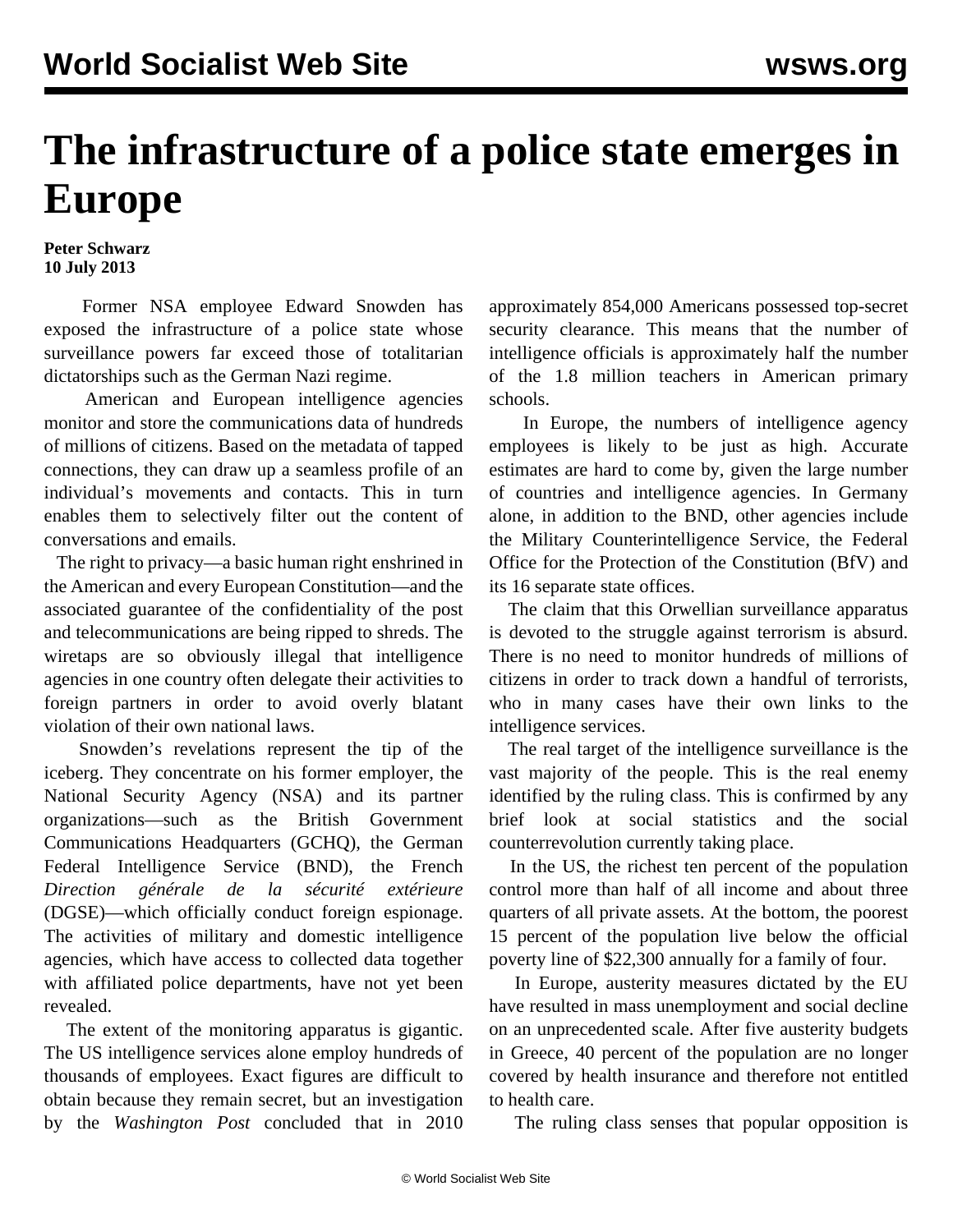## **The infrastructure of a police state emerges in Europe**

## **Peter Schwarz 10 July 2013**

 Former NSA employee Edward Snowden has exposed the infrastructure of a police state whose surveillance powers far exceed those of totalitarian dictatorships such as the German Nazi regime.

 American and European intelligence agencies monitor and store the communications data of hundreds of millions of citizens. Based on the metadata of tapped connections, they can draw up a seamless profile of an individual's movements and contacts. This in turn enables them to selectively filter out the content of conversations and emails.

 The right to privacy—a basic human right enshrined in the American and every European Constitution—and the associated guarantee of the confidentiality of the post and telecommunications are being ripped to shreds. The wiretaps are so obviously illegal that intelligence agencies in one country often delegate their activities to foreign partners in order to avoid overly blatant violation of their own national laws.

 Snowden's revelations represent the tip of the iceberg. They concentrate on his former employer, the National Security Agency (NSA) and its partner organizations—such as the British Government Communications Headquarters (GCHQ), the German Federal Intelligence Service (BND), the French *Direction générale de la sécurité extérieure* (DGSE)—which officially conduct foreign espionage. The activities of military and domestic intelligence agencies, which have access to collected data together with affiliated police departments, have not yet been revealed.

 The extent of the monitoring apparatus is gigantic. The US intelligence services alone employ hundreds of thousands of employees. Exact figures are difficult to obtain because they remain secret, but an investigation by the *Washington Post* concluded that in 2010

approximately 854,000 Americans possessed top-secret security clearance. This means that the number of intelligence officials is approximately half the number of the 1.8 million teachers in American primary schools.

 In Europe, the numbers of intelligence agency employees is likely to be just as high. Accurate estimates are hard to come by, given the large number of countries and intelligence agencies. In Germany alone, in addition to the BND, other agencies include the Military Counterintelligence Service, the Federal Office for the Protection of the Constitution (BfV) and its 16 separate state offices.

 The claim that this Orwellian surveillance apparatus is devoted to the struggle against terrorism is absurd. There is no need to monitor hundreds of millions of citizens in order to track down a handful of terrorists, who in many cases have their own links to the intelligence services.

 The real target of the intelligence surveillance is the vast majority of the people. This is the real enemy identified by the ruling class. This is confirmed by any brief look at social statistics and the social counterrevolution currently taking place.

 In the US, the richest ten percent of the population control more than half of all income and about three quarters of all private assets. At the bottom, the poorest 15 percent of the population live below the official poverty line of \$22,300 annually for a family of four.

 In Europe, austerity measures dictated by the EU have resulted in mass unemployment and social decline on an unprecedented scale. After five austerity budgets in Greece, 40 percent of the population are no longer covered by health insurance and therefore not entitled to health care.

The ruling class senses that popular opposition is